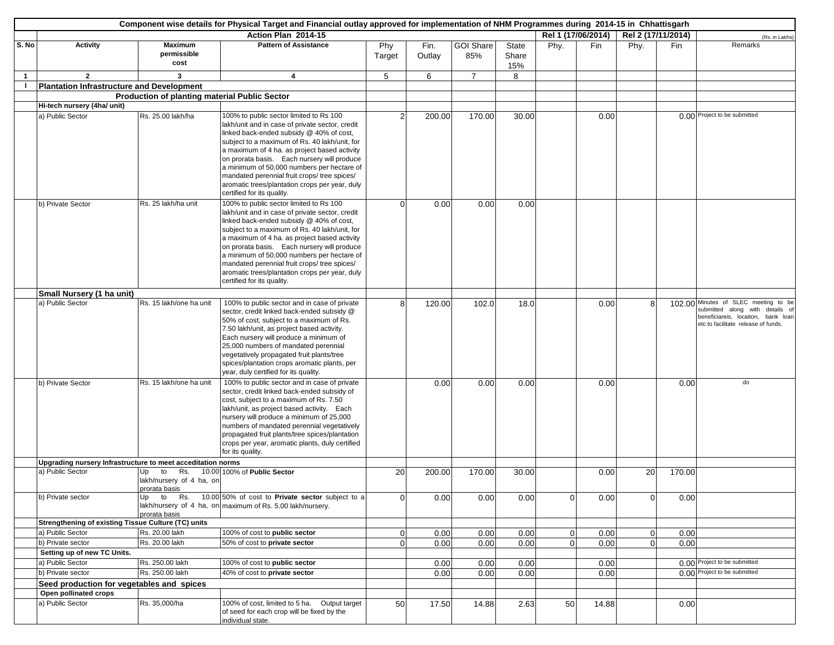|              | Component wise details for Physical Target and Financial outlay approved for implementation of NHM Programmes during 2014-15 in Chhattisgarh |                                                                       |                                                                                                                                                                                                                                                                                                                                                                                                                                                                      |                |                |                         |                       |                |                    |                |                    |                                                                                                                                                      |
|--------------|----------------------------------------------------------------------------------------------------------------------------------------------|-----------------------------------------------------------------------|----------------------------------------------------------------------------------------------------------------------------------------------------------------------------------------------------------------------------------------------------------------------------------------------------------------------------------------------------------------------------------------------------------------------------------------------------------------------|----------------|----------------|-------------------------|-----------------------|----------------|--------------------|----------------|--------------------|------------------------------------------------------------------------------------------------------------------------------------------------------|
|              |                                                                                                                                              |                                                                       | Action Plan 2014-15                                                                                                                                                                                                                                                                                                                                                                                                                                                  |                |                |                         |                       |                | Rel 1 (17/06/2014) |                | Rel 2 (17/11/2014) | (Rs. in Lakhs)                                                                                                                                       |
| S. No        | <b>Activity</b>                                                                                                                              | <b>Maximum</b><br>permissible<br>cost                                 | <b>Pattern of Assistance</b>                                                                                                                                                                                                                                                                                                                                                                                                                                         | Phy<br>Target  | Fin.<br>Outlay | <b>GOI Share</b><br>85% | State<br>Share<br>15% | Phy.           | Fin                | Phy.           | Fin                | Remarks                                                                                                                                              |
| $\mathbf{1}$ | $\overline{2}$                                                                                                                               | 3                                                                     | 4                                                                                                                                                                                                                                                                                                                                                                                                                                                                    | 5              | 6              | $\overline{7}$          | 8                     |                |                    |                |                    |                                                                                                                                                      |
|              | Plantation Infrastructure and Development                                                                                                    |                                                                       |                                                                                                                                                                                                                                                                                                                                                                                                                                                                      |                |                |                         |                       |                |                    |                |                    |                                                                                                                                                      |
|              |                                                                                                                                              | <b>Production of planting material Public Sector</b>                  |                                                                                                                                                                                                                                                                                                                                                                                                                                                                      |                |                |                         |                       |                |                    |                |                    |                                                                                                                                                      |
|              | Hi-tech nursery (4ha/ unit)                                                                                                                  |                                                                       |                                                                                                                                                                                                                                                                                                                                                                                                                                                                      |                |                |                         |                       |                |                    |                |                    |                                                                                                                                                      |
|              | a) Public Sector                                                                                                                             | Rs. 25.00 lakh/ha                                                     | 100% to public sector limited to Rs 100<br>lakh/unit and in case of private sector, credit<br>linked back-ended subsidy @ 40% of cost,<br>subject to a maximum of Rs. 40 lakh/unit, for<br>a maximum of 4 ha. as project based activity<br>on prorata basis. Each nursery will produce<br>a minimum of 50,000 numbers per hectare of<br>mandated perennial fruit crops/ tree spices/<br>aromatic trees/plantation crops per year, duly<br>certified for its quality. |                | 200.00         | 170.00                  | 30.00                 |                | 0.00               |                |                    | 0.00 Project to be submitted                                                                                                                         |
|              | b) Private Sector                                                                                                                            | Rs. 25 lakh/ha unit                                                   | 100% to public sector limited to Rs 100<br>lakh/unit and in case of private sector, credit<br>linked back-ended subsidy @ 40% of cost,<br>subject to a maximum of Rs. 40 lakh/unit, for<br>a maximum of 4 ha. as project based activity<br>on prorata basis. Each nursery will produce<br>a minimum of 50,000 numbers per hectare of<br>mandated perennial fruit crops/ tree spices/<br>aromatic trees/plantation crops per year, duly<br>certified for its quality. | $\Omega$       | 0.00           | 0.00                    | 0.00                  |                |                    |                |                    |                                                                                                                                                      |
|              | Small Nursery (1 ha unit)                                                                                                                    |                                                                       |                                                                                                                                                                                                                                                                                                                                                                                                                                                                      |                |                |                         |                       |                |                    |                |                    |                                                                                                                                                      |
|              | a) Public Sector                                                                                                                             | Rs. 15 lakh/one ha unit                                               | 100% to public sector and in case of private<br>sector, credit linked back-ended subsidy @<br>50% of cost, subject to a maximum of Rs.<br>7.50 lakh/unit, as project based activity.<br>Each nursery will produce a minimum of<br>25,000 numbers of mandated perennial<br>vegetatively propagated fruit plants/tree<br>spices/plantation crops aromatic plants, per<br>year, duly certified for its quality.                                                         | 8              | 120.00         | 102.0                   | 18.0                  |                | 0.00               | 8              |                    | 102.00 Minutes of SLEC meeting to be<br>submitted along with details of<br>beneficiareis, locaiton, bank loan<br>etc to facilitate release of funds. |
|              | b) Private Sector                                                                                                                            | Rs. 15 lakh/one ha unit                                               | 100% to public sector and in case of private<br>sector, credit linked back-ended subsidy of<br>cost, subject to a maximum of Rs. 7.50<br>lakh/unit, as project based activity. Each<br>nursery will produce a minimum of 25,000<br>numbers of mandated perennial vegetatively<br>propagated fruit plants/tree spices/plantation<br>crops per year, aromatic plants, duly certified<br>for its quality.                                                               |                | 0.00           | 0.00                    | 0.00                  |                | 0.00               |                | 0.00               | do                                                                                                                                                   |
|              | Upgrading nursery Infrastructure to meet acceditation norms                                                                                  |                                                                       |                                                                                                                                                                                                                                                                                                                                                                                                                                                                      |                |                |                         |                       |                |                    |                |                    |                                                                                                                                                      |
|              | a) Public Sector                                                                                                                             | Rs.<br>to<br>10.00<br>Up<br>lakh/nursery of 4 ha, on<br>prorata basis | 100% of Public Sector                                                                                                                                                                                                                                                                                                                                                                                                                                                | 20             | 200.00         | 170.00                  | 30.00                 |                | 0.00               | 20             | 170.00             |                                                                                                                                                      |
|              | b) Private sector                                                                                                                            | Up<br>prorata basis                                                   | to Rs. 10.00 50% of cost to Private sector subject to a<br>lakh/nursery of 4 ha, on maximum of Rs. 5.00 lakh/nursery.                                                                                                                                                                                                                                                                                                                                                | $\overline{0}$ | 0.00           | 0.00                    | 0.00                  | $\overline{0}$ | 0.00               | $\overline{0}$ | 0.00               |                                                                                                                                                      |
|              | Strengthening of existing Tissue Culture (TC) units                                                                                          |                                                                       |                                                                                                                                                                                                                                                                                                                                                                                                                                                                      |                |                |                         |                       |                |                    |                |                    |                                                                                                                                                      |
|              | a) Public Sector                                                                                                                             | Rs. 20.00 lakh                                                        | 100% of cost to public sector                                                                                                                                                                                                                                                                                                                                                                                                                                        | $\overline{0}$ | 0.00           | 0.00                    | 0.00                  | $\overline{0}$ | 0.00               | 0              | 0.00               |                                                                                                                                                      |
|              | b) Private sector                                                                                                                            | Rs. 20.00 lakh                                                        | 50% of cost to private sector                                                                                                                                                                                                                                                                                                                                                                                                                                        | $\overline{0}$ | 0.00           | 0.00                    | 0.00                  | $\overline{0}$ | 0.00               | $\mathbf 0$    | 0.00               |                                                                                                                                                      |
|              | Setting up of new TC Units.                                                                                                                  |                                                                       |                                                                                                                                                                                                                                                                                                                                                                                                                                                                      |                |                |                         |                       |                |                    |                |                    |                                                                                                                                                      |
|              | a) Public Sector                                                                                                                             | Rs. 250.00 lakh                                                       | 100% of cost to public sector                                                                                                                                                                                                                                                                                                                                                                                                                                        |                | 0.00           | 0.00                    | 0.00                  |                | 0.00               |                |                    | 0.00 Project to be submitted                                                                                                                         |
|              | b) Private sector                                                                                                                            | Rs. 250.00 lakh                                                       | 40% of cost to private sector                                                                                                                                                                                                                                                                                                                                                                                                                                        |                | 0.00           | 0.00                    | 0.00                  |                | 0.00               |                |                    | 0.00 Project to be submitted                                                                                                                         |
|              | Seed production for vegetables and spices                                                                                                    |                                                                       |                                                                                                                                                                                                                                                                                                                                                                                                                                                                      |                |                |                         |                       |                |                    |                |                    |                                                                                                                                                      |
|              | Open pollinated crops                                                                                                                        |                                                                       |                                                                                                                                                                                                                                                                                                                                                                                                                                                                      |                |                |                         |                       |                |                    |                |                    |                                                                                                                                                      |
|              | a) Public Sector                                                                                                                             | Rs. 35,000/ha                                                         | 100% of cost, limited to 5 ha. Output target<br>of seed for each crop will be fixed by the<br>individual state.                                                                                                                                                                                                                                                                                                                                                      | 50             | 17.50          | 14.88                   | 2.63                  | 50             | 14.88              |                | 0.00               |                                                                                                                                                      |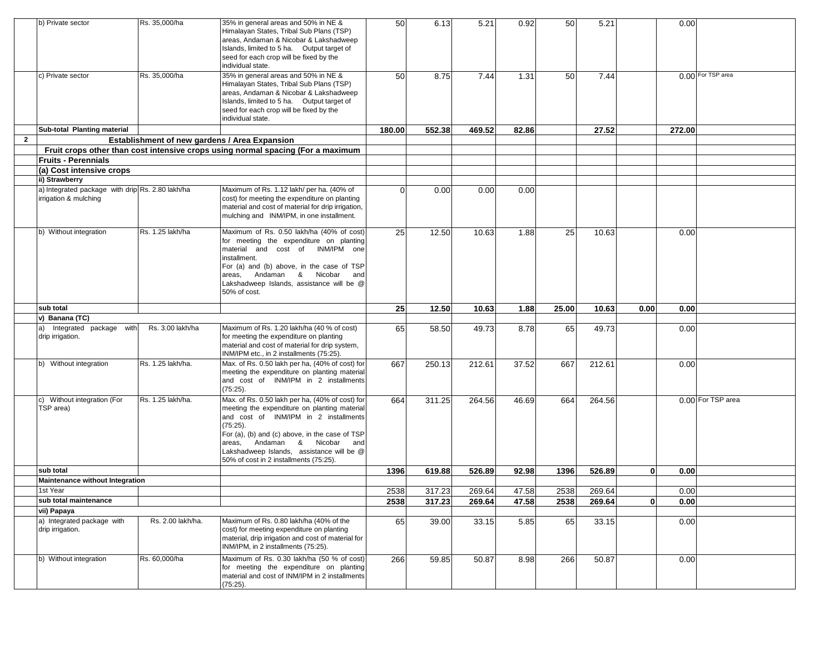|                | b) Private sector                                                         | Rs. 35,000/ha                                 | 35% in general areas and 50% in NE &<br>Himalayan States, Tribal Sub Plans (TSP)<br>areas, Andaman & Nicobar & Lakshadweep<br>Islands, limited to 5 ha. Output target of<br>seed for each crop will be fixed by the<br>individual state.                                                                                      | 50       | 6.13   | 5.21   | 0.92  | 50    | 5.21           |              | 0.00   |                   |
|----------------|---------------------------------------------------------------------------|-----------------------------------------------|-------------------------------------------------------------------------------------------------------------------------------------------------------------------------------------------------------------------------------------------------------------------------------------------------------------------------------|----------|--------|--------|-------|-------|----------------|--------------|--------|-------------------|
|                | c) Private sector                                                         | Rs. 35,000/ha                                 | 35% in general areas and 50% in NE &<br>Himalayan States, Tribal Sub Plans (TSP)<br>areas, Andaman & Nicobar & Lakshadweep<br>Islands, limited to 5 ha. Output target of<br>seed for each crop will be fixed by the<br>individual state.                                                                                      | 50       | 8.75   | 7.44   | 1.31  | 50    | 7.44           |              |        | 0.00 For TSP area |
|                | Sub-total Planting material                                               |                                               |                                                                                                                                                                                                                                                                                                                               | 180.00   | 552.38 | 469.52 | 82.86 |       | 27.52          |              | 272.00 |                   |
| $\overline{2}$ |                                                                           | Establishment of new gardens / Area Expansion |                                                                                                                                                                                                                                                                                                                               |          |        |        |       |       |                |              |        |                   |
|                |                                                                           |                                               | Fruit crops other than cost intensive crops using normal spacing (For a maximum                                                                                                                                                                                                                                               |          |        |        |       |       |                |              |        |                   |
|                | <b>Fruits - Perennials</b>                                                |                                               |                                                                                                                                                                                                                                                                                                                               |          |        |        |       |       |                |              |        |                   |
|                | (a) Cost intensive crops                                                  |                                               |                                                                                                                                                                                                                                                                                                                               |          |        |        |       |       |                |              |        |                   |
|                | ii) Strawberry                                                            |                                               |                                                                                                                                                                                                                                                                                                                               |          |        |        |       |       |                |              |        |                   |
|                | a) Integrated package with drip Rs. 2.80 lakh/ha<br>irrigation & mulching |                                               | Maximum of Rs. 1.12 lakh/ per ha. (40% of<br>cost) for meeting the expenditure on planting<br>material and cost of material for drip irrigation,<br>mulching and INM/IPM, in one installment.                                                                                                                                 | $\Omega$ | 0.00   | 0.00   | 0.00  |       |                |              |        |                   |
|                | b) Without integration                                                    | Rs. 1.25 lakh/ha                              | Maximum of Rs. 0.50 lakh/ha (40% of cost)<br>for meeting the expenditure on planting<br>material and cost of INM/IPM one<br>installment.<br>For (a) and (b) above, in the case of TSP<br>areas, Andaman & Nicobar<br>and<br>Lakshadweep Islands, assistance will be @<br>50% of cost.                                         | 25       | 12.50  | 10.63  | 1.88  | 25    | 10.63          |              | 0.00   |                   |
|                |                                                                           |                                               |                                                                                                                                                                                                                                                                                                                               |          |        |        |       |       |                |              |        |                   |
|                | sub total                                                                 |                                               |                                                                                                                                                                                                                                                                                                                               | 25       | 12.50  | 10.63  | 1.88  | 25.00 | 10.63          | 0.00         | 0.00   |                   |
|                | v) Banana (TC)                                                            |                                               |                                                                                                                                                                                                                                                                                                                               |          |        |        |       |       |                |              |        |                   |
|                | a) Integrated package with<br>drip irrigation.                            | Rs. 3.00 lakh/ha                              | Maximum of Rs. 1.20 lakh/ha (40 % of cost)<br>for meeting the expenditure on planting<br>material and cost of material for drip system,<br>INM/IPM etc., in 2 installments (75:25).                                                                                                                                           | 65       | 58.50  | 49.73  | 8.78  | 65    | 49.73          |              | 0.00   |                   |
|                | b) Without integration                                                    | Rs. 1.25 lakh/ha.                             | Max. of Rs. 0.50 lakh per ha, (40% of cost) for<br>meeting the expenditure on planting material<br>and cost of INM/IPM in 2 installments<br>(75:25).                                                                                                                                                                          | 667      | 250.13 | 212.61 | 37.52 | 667   | 212.61         |              | 0.00   |                   |
|                | c) Without integration (For<br>TSP area)                                  | Rs. 1.25 lakh/ha.                             | Max. of Rs. 0.50 lakh per ha, (40% of cost) for<br>meeting the expenditure on planting material<br>and cost of INM/IPM in 2 installments<br>(75:25).<br>For (a), (b) and (c) above, in the case of TSP<br>areas, Andaman & Nicobar and<br>Lakshadweep Islands, assistance will be @<br>50% of cost in 2 installments (75:25). | 664      | 311.25 | 264.56 | 46.69 | 664   | 264.56         |              |        | 0.00 For TSP area |
|                | sub total                                                                 |                                               |                                                                                                                                                                                                                                                                                                                               | 1396     | 619.88 | 526.89 | 92.98 | 1396  | 526.89         | $\mathbf{0}$ | 0.00   |                   |
|                | <b>Maintenance without Integration</b>                                    |                                               |                                                                                                                                                                                                                                                                                                                               |          |        |        |       |       |                |              |        |                   |
|                | 1st Year                                                                  |                                               |                                                                                                                                                                                                                                                                                                                               | 2538     | 317.23 | 269.64 | 47.58 | 2538  | 269.64         |              | 0.00   |                   |
|                | sub total maintenance                                                     |                                               |                                                                                                                                                                                                                                                                                                                               | 2538     | 317.23 | 269.64 | 47.58 | 2538  | 269.64         | $\mathbf 0$  | 0.00   |                   |
|                | vii) Papaya                                                               |                                               |                                                                                                                                                                                                                                                                                                                               |          |        |        |       |       |                |              |        |                   |
|                | a) Integrated package with<br>drip irrigation.                            | Rs. 2.00 lakh/ha.<br>Rs. 60,000/ha            | Maximum of Rs. 0.80 lakh/ha (40% of the<br>cost) for meeting expenditure on planting<br>material, drip irrigation and cost of material for<br>INM/IPM, in 2 installments (75:25).<br>Maximum of Rs. 0.30 lakh/ha (50 % of cost)                                                                                               | 65       | 39.00  | 33.15  | 5.85  | 65    | 33.15<br>50.87 |              | 0.00   |                   |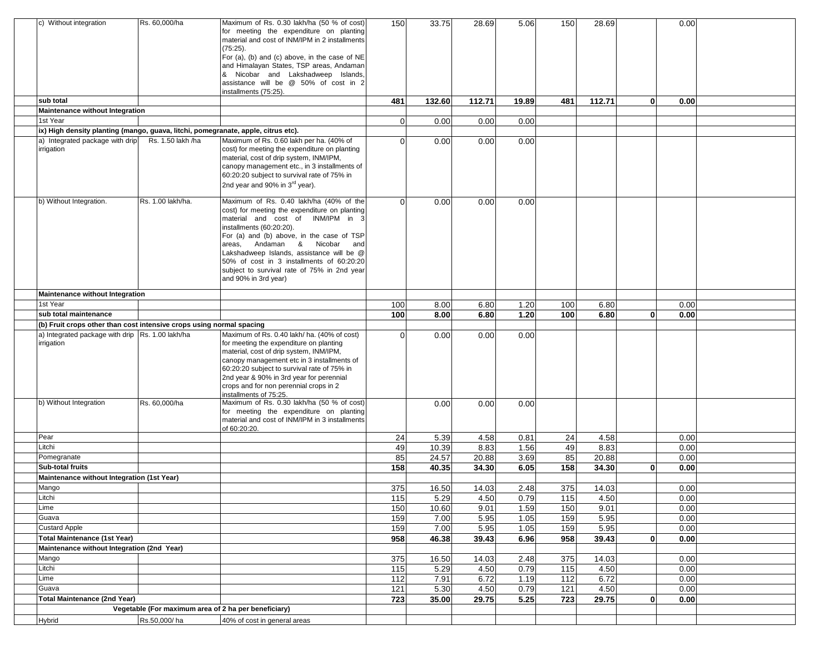| c) Without integration                                                            | Rs. 60,000/ha                                        | Maximum of Rs. 0.30 lakh/ha (50 % of cost)<br>for meeting the expenditure on planting<br>material and cost of INM/IPM in 2 installments<br>(75:25).<br>For (a), (b) and (c) above, in the case of NE<br>and Himalayan States, TSP areas, Andaman                                                                                                                                                        | 150            | 33.75          | 28.69  | 5.06  | 150       | 28.69  |              | 0.00 |  |
|-----------------------------------------------------------------------------------|------------------------------------------------------|---------------------------------------------------------------------------------------------------------------------------------------------------------------------------------------------------------------------------------------------------------------------------------------------------------------------------------------------------------------------------------------------------------|----------------|----------------|--------|-------|-----------|--------|--------------|------|--|
|                                                                                   |                                                      | & Nicobar and Lakshadweep Islands,<br>assistance will be @ 50% of cost in 2<br>installments (75:25).                                                                                                                                                                                                                                                                                                    |                |                |        |       |           |        |              |      |  |
| sub total                                                                         |                                                      |                                                                                                                                                                                                                                                                                                                                                                                                         | 481            | 132.60         | 112.71 | 19.89 | 481       | 112.71 | $\mathbf{0}$ | 0.00 |  |
| Maintenance without Integration                                                   |                                                      |                                                                                                                                                                                                                                                                                                                                                                                                         |                |                |        |       |           |        |              |      |  |
| 1st Year                                                                          |                                                      |                                                                                                                                                                                                                                                                                                                                                                                                         | $\overline{0}$ | 0.00           | 0.00   | 0.00  |           |        |              |      |  |
| ix) High density planting (mango, guava, litchi, pomegranate, apple, citrus etc). |                                                      |                                                                                                                                                                                                                                                                                                                                                                                                         |                |                |        |       |           |        |              |      |  |
| a) Integrated package with drip<br>irrigation                                     | Rs. 1.50 lakh /ha                                    | Maximum of Rs. 0.60 lakh per ha. (40% of<br>cost) for meeting the expenditure on planting<br>material, cost of drip system, INM/IPM,<br>canopy management etc., in 3 installments of<br>60:20:20 subject to survival rate of 75% in<br>2nd year and 90% in 3 <sup>rd</sup> year).                                                                                                                       | 0              | 0.00           | 0.00   | 0.00  |           |        |              |      |  |
| b) Without Integration.                                                           | Rs. 1.00 lakh/ha.                                    | Maximum of Rs. 0.40 lakh/ha (40% of the<br>cost) for meeting the expenditure on planting<br>material and cost of INM/IPM in 3<br>installments (60:20:20).<br>For (a) and (b) above, in the case of TSP<br>areas, Andaman & Nicobar and<br>Lakshadweep Islands, assistance will be @<br>50% of cost in 3 installments of 60:20:20<br>subject to survival rate of 75% in 2nd year<br>and 90% in 3rd year) | $\Omega$       | 0.00           | 0.00   | 0.00  |           |        |              |      |  |
| Maintenance without Integration                                                   |                                                      |                                                                                                                                                                                                                                                                                                                                                                                                         |                |                |        |       |           |        |              |      |  |
| 1st Year                                                                          |                                                      |                                                                                                                                                                                                                                                                                                                                                                                                         | 100            | 8.00           | 6.80   | 1.20  | 100       | 6.80   |              | 0.00 |  |
| sub total maintenance                                                             |                                                      |                                                                                                                                                                                                                                                                                                                                                                                                         | 100            | 8.00           | 6.80   | 1.20  | 100       | 6.80   | 0            | 0.00 |  |
| (b) Fruit crops other than cost intensive crops using normal spacing              |                                                      |                                                                                                                                                                                                                                                                                                                                                                                                         |                |                |        |       |           |        |              |      |  |
| a) Integrated package with drip Rs. 1.00 lakh/ha<br>irrigation                    |                                                      | Maximum of Rs. 0.40 lakh/ ha. (40% of cost)<br>for meeting the expenditure on planting<br>material, cost of drip system, INM/IPM,<br>canopy management etc in 3 installments of<br>60:20:20 subject to survival rate of 75% in<br>2nd year & 90% in 3rd year for perennial<br>crops and for non perennial crops in 2<br>installments of 75:25.                                                          | ∩              | 0.00           | 0.00   | 0.00  |           |        |              |      |  |
| b) Without Integration                                                            | Rs. 60,000/ha                                        | Maximum of Rs. 0.30 lakh/ha (50 % of cost)<br>for meeting the expenditure on planting<br>material and cost of INM/IPM in 3 installments<br>of 60:20:20.                                                                                                                                                                                                                                                 |                | 0.00           | 0.00   | 0.00  |           |        |              |      |  |
| Pear                                                                              |                                                      |                                                                                                                                                                                                                                                                                                                                                                                                         | 24             | 5.39           | 4.58   | 0.81  | 24        | 4.58   |              | 0.00 |  |
| Litchi                                                                            |                                                      |                                                                                                                                                                                                                                                                                                                                                                                                         | 49             | 10.39          | 8.83   | 1.56  | 49        | 8.83   |              | 0.00 |  |
| Pomegranate<br>Sub-total fruits                                                   |                                                      |                                                                                                                                                                                                                                                                                                                                                                                                         | 85             | 24.57<br>40.35 | 20.88  | 3.69  | 85<br>158 | 20.88  | $\mathbf{0}$ | 0.00 |  |
| Maintenance without Integration (1st Year)                                        |                                                      |                                                                                                                                                                                                                                                                                                                                                                                                         | 158            |                | 34.30  | 6.05  |           | 34.30  |              | 0.00 |  |
| Mango                                                                             |                                                      |                                                                                                                                                                                                                                                                                                                                                                                                         | 375            | 16.50          | 14.03  | 2.48  | 375       | 14.03  |              | 0.00 |  |
| Litchi                                                                            |                                                      |                                                                                                                                                                                                                                                                                                                                                                                                         | 115            | 5.29           | 4.50   | 0.79  | 115       | 4.50   |              | 0.00 |  |
| Lime                                                                              |                                                      |                                                                                                                                                                                                                                                                                                                                                                                                         | 150            | 10.60          | 9.01   | 1.59  | 150       | 9.01   |              | 0.00 |  |
| Guava                                                                             |                                                      |                                                                                                                                                                                                                                                                                                                                                                                                         | 159            | 7.00           | 5.95   | 1.05  | 159       | 5.95   |              | 0.00 |  |
| <b>Custard Apple</b>                                                              |                                                      |                                                                                                                                                                                                                                                                                                                                                                                                         | 159            | 7.00           | 5.95   | 1.05  | 159       | 5.95   |              | 0.00 |  |
| <b>Total Maintenance (1st Year)</b>                                               |                                                      |                                                                                                                                                                                                                                                                                                                                                                                                         | 958            | 46.38          | 39.43  | 6.96  | 958       | 39.43  | $\mathbf{0}$ | 0.00 |  |
| Maintenance without Integration (2nd Year)                                        |                                                      |                                                                                                                                                                                                                                                                                                                                                                                                         |                |                |        |       |           |        |              |      |  |
| Mango                                                                             |                                                      |                                                                                                                                                                                                                                                                                                                                                                                                         | 375            | 16.50          | 14.03  | 2.48  | 375       | 14.03  |              | 0.00 |  |
| Litchi                                                                            |                                                      |                                                                                                                                                                                                                                                                                                                                                                                                         | 115            | 5.29           | 4.50   | 0.79  | 115       | 4.50   |              | 0.00 |  |
| Lime                                                                              |                                                      |                                                                                                                                                                                                                                                                                                                                                                                                         | 112            | 7.91           | 6.72   | 1.19  | 112       | 6.72   |              | 0.00 |  |
| Guava<br><b>Total Maintenance (2nd Year)</b>                                      |                                                      |                                                                                                                                                                                                                                                                                                                                                                                                         | 121            | 5.30           | 4.50   | 0.79  | 121       | 4.50   |              | 0.00 |  |
|                                                                                   | Vegetable (For maximum area of 2 ha per beneficiary) |                                                                                                                                                                                                                                                                                                                                                                                                         | 723            | 35.00          | 29.75  | 5.25  | 723       | 29.75  | 0            | 0.00 |  |
| Hybrid                                                                            | Rs.50,000/ha                                         | 40% of cost in general areas                                                                                                                                                                                                                                                                                                                                                                            |                |                |        |       |           |        |              |      |  |
|                                                                                   |                                                      |                                                                                                                                                                                                                                                                                                                                                                                                         |                |                |        |       |           |        |              |      |  |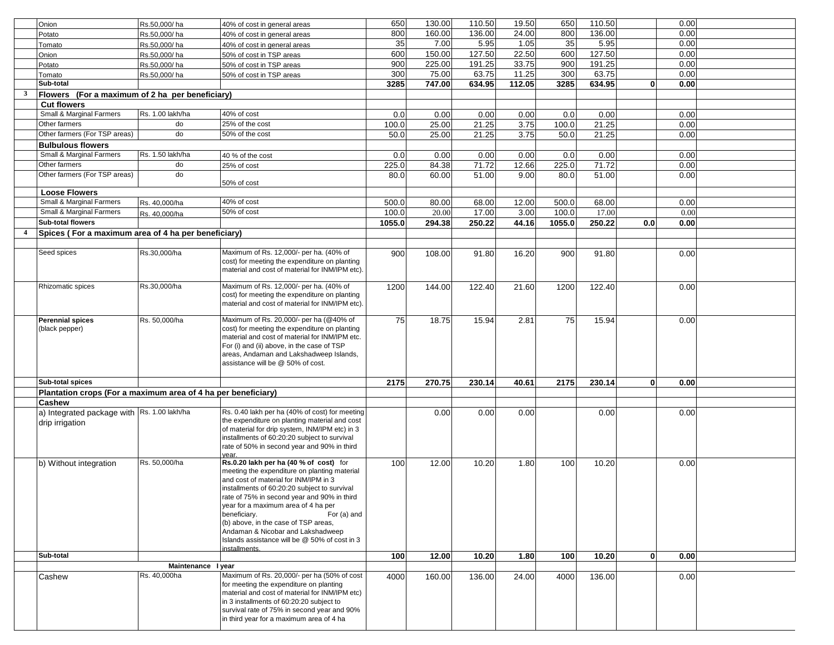|                         | Onion                                                         | Rs.50,000/ha       | 40% of cost in general areas                                                              | 650    | 130.00 | 110.50 | 19.50  | 650    | 110.50 |              | 0.00 |  |
|-------------------------|---------------------------------------------------------------|--------------------|-------------------------------------------------------------------------------------------|--------|--------|--------|--------|--------|--------|--------------|------|--|
|                         | Potato                                                        | Rs.50,000/ha       | 40% of cost in general areas                                                              | 800    | 160.00 | 136.00 | 24.00  | 800    | 136.00 |              | 0.00 |  |
|                         | Tomato                                                        | Rs.50,000/ha       | 40% of cost in general areas                                                              | 35     | 7.00   | 5.95   | 1.05   | 35     | 5.95   |              | 0.00 |  |
|                         | Onion                                                         | Rs.50,000/ha       | 50% of cost in TSP areas                                                                  | 600    | 150.00 | 127.50 | 22.50  | 600    | 127.50 |              | 0.00 |  |
|                         | Potato                                                        | Rs.50,000/ha       | 50% of cost in TSP areas                                                                  | 900    | 225.00 | 191.25 | 33.75  | 900    | 191.25 |              | 0.00 |  |
|                         | Tomato                                                        | Rs.50.000/ha       | 50% of cost in TSP areas                                                                  | 300    | 75.00  | 63.75  | 11.25  | 300    | 63.75  |              | 0.00 |  |
|                         | Sub-total                                                     |                    |                                                                                           | 3285   | 747.00 | 634.95 | 112.05 | 3285   | 634.95 | $\mathbf{0}$ | 0.00 |  |
| $\overline{\mathbf{3}}$ | Flowers (For a maximum of 2 ha per beneficiary)               |                    |                                                                                           |        |        |        |        |        |        |              |      |  |
|                         | <b>Cut flowers</b>                                            |                    |                                                                                           |        |        |        |        |        |        |              |      |  |
|                         | Small & Marginal Farmers                                      | Rs. 1.00 lakh/ha   | 40% of cost                                                                               | 0.0    | 0.00   | 0.00   | 0.00   | 0.0    | 0.00   |              | 0.00 |  |
|                         | Other farmers                                                 | do                 | 25% of the cost                                                                           | 100.0  | 25.00  | 21.25  | 3.75   | 100.0  | 21.25  |              | 0.00 |  |
|                         | Other farmers (For TSP areas)                                 | do                 | 50% of the cost                                                                           | 50.0   | 25.00  | 21.25  | 3.75   | 50.0   | 21.25  |              | 0.00 |  |
|                         |                                                               |                    |                                                                                           |        |        |        |        |        |        |              |      |  |
|                         | <b>Bulbulous flowers</b>                                      |                    |                                                                                           |        |        |        |        |        |        |              |      |  |
|                         | Small & Marginal Farmers                                      | Rs. 1.50 lakh/ha   | 40 % of the cost                                                                          | 0.0    | 0.00   | 0.00   | 0.00   | 0.0    | 0.00   |              | 0.00 |  |
|                         | Other farmers                                                 | do                 | 25% of cost                                                                               | 225.0  | 84.38  | 71.72  | 12.66  | 225.0  | 71.72  |              | 0.00 |  |
|                         | Other farmers (For TSP areas)                                 | do                 |                                                                                           | 80.0   | 60.00  | 51.00  | 9.00   | 80.0   | 51.00  |              | 0.00 |  |
|                         |                                                               |                    | 50% of cost                                                                               |        |        |        |        |        |        |              |      |  |
|                         | <b>Loose Flowers</b><br>Small & Marginal Farmers              |                    | 40% of cost                                                                               |        |        |        |        |        |        |              |      |  |
|                         |                                                               | Rs. 40,000/ha      |                                                                                           | 500.0  | 80.00  | 68.00  | 12.00  | 500.0  | 68.00  |              | 0.00 |  |
|                         | Small & Marginal Farmers                                      | Rs. 40,000/ha      | 50% of cost                                                                               | 100.0  | 20.00  | 17.00  | 3.00   | 100.0  | 17.00  |              | 0.00 |  |
|                         | Sub-total flowers                                             |                    |                                                                                           | 1055.0 | 294.38 | 250.22 | 44.16  | 1055.0 | 250.22 | 0.0          | 0.00 |  |
|                         | Spices (For a maximum area of 4 ha per beneficiary)           |                    |                                                                                           |        |        |        |        |        |        |              |      |  |
|                         |                                                               |                    |                                                                                           |        |        |        |        |        |        |              |      |  |
|                         | Seed spices                                                   | Rs.30,000/ha       | Maximum of Rs. 12,000/- per ha. (40% of                                                   | 900    | 108.00 | 91.80  | 16.20  | 900    | 91.80  |              | 0.00 |  |
|                         |                                                               |                    | cost) for meeting the expenditure on planting                                             |        |        |        |        |        |        |              |      |  |
|                         |                                                               |                    | material and cost of material for INM/IPM etc).                                           |        |        |        |        |        |        |              |      |  |
|                         | Rhizomatic spices                                             | Rs.30.000/ha       | Maximum of Rs. 12,000/- per ha. (40% of                                                   | 1200   | 144.00 | 122.40 | 21.60  | 1200   | 122.40 |              | 0.00 |  |
|                         |                                                               |                    | cost) for meeting the expenditure on planting                                             |        |        |        |        |        |        |              |      |  |
|                         |                                                               |                    | material and cost of material for INM/IPM etc).                                           |        |        |        |        |        |        |              |      |  |
|                         |                                                               |                    |                                                                                           |        |        |        |        |        |        |              |      |  |
|                         | Perennial spices                                              | Rs. 50,000/ha      | Maximum of Rs. 20,000/- per ha (@40% of                                                   | 75     | 18.75  | 15.94  | 2.81   | 75     | 15.94  |              | 0.00 |  |
|                         | (black pepper)                                                |                    | cost) for meeting the expenditure on planting                                             |        |        |        |        |        |        |              |      |  |
|                         |                                                               |                    | material and cost of material for INM/IPM etc.                                            |        |        |        |        |        |        |              |      |  |
|                         |                                                               |                    | For (i) and (ii) above, in the case of TSP<br>areas, Andaman and Lakshadweep Islands,     |        |        |        |        |        |        |              |      |  |
|                         |                                                               |                    | assistance will be @ 50% of cost.                                                         |        |        |        |        |        |        |              |      |  |
|                         |                                                               |                    |                                                                                           |        |        |        |        |        |        |              |      |  |
|                         | Sub-total spices                                              |                    |                                                                                           | 2175   | 270.75 | 230.14 | 40.61  | 2175   | 230.14 | $\mathbf{0}$ | 0.00 |  |
|                         | Plantation crops (For a maximum area of 4 ha per beneficiary) |                    |                                                                                           |        |        |        |        |        |        |              |      |  |
|                         | Cashew                                                        |                    |                                                                                           |        |        |        |        |        |        |              |      |  |
|                         | a) Integrated package with Rs. 1.00 lakh/ha                   |                    | Rs. 0.40 lakh per ha (40% of cost) for meeting                                            |        | 0.00   | 0.00   | 0.00   |        | 0.00   |              | 0.00 |  |
|                         |                                                               |                    | the expenditure on planting material and cost                                             |        |        |        |        |        |        |              |      |  |
|                         | drip irrigation                                               |                    | of material for drip system, INM/IPM etc) in 3                                            |        |        |        |        |        |        |              |      |  |
|                         |                                                               |                    | installments of 60:20:20 subject to survival                                              |        |        |        |        |        |        |              |      |  |
|                         |                                                               |                    | rate of 50% in second year and 90% in third                                               |        |        |        |        |        |        |              |      |  |
|                         |                                                               |                    | year.                                                                                     |        |        |        |        |        |        |              |      |  |
|                         | b) Without integration                                        | Rs. 50,000/ha      | Rs.0.20 lakh per ha (40 % of cost) for                                                    | 100    | 12.00  | 10.20  | 1.80   | 100    | 10.20  |              | 0.00 |  |
|                         |                                                               |                    | meeting the expenditure on planting material                                              |        |        |        |        |        |        |              |      |  |
|                         |                                                               |                    | and cost of material for INM/IPM in 3<br>installments of 60:20:20 subject to survival     |        |        |        |        |        |        |              |      |  |
|                         |                                                               |                    | rate of 75% in second year and 90% in third                                               |        |        |        |        |        |        |              |      |  |
|                         |                                                               |                    | year for a maximum area of 4 ha per                                                       |        |        |        |        |        |        |              |      |  |
|                         |                                                               |                    | beneficiary.<br>For (a) and                                                               |        |        |        |        |        |        |              |      |  |
|                         |                                                               |                    | (b) above, in the case of TSP areas,                                                      |        |        |        |        |        |        |              |      |  |
|                         |                                                               |                    | Andaman & Nicobar and Lakshadweep                                                         |        |        |        |        |        |        |              |      |  |
|                         |                                                               |                    | Islands assistance will be @ 50% of cost in 3                                             |        |        |        |        |        |        |              |      |  |
|                         |                                                               |                    | <b>installments</b>                                                                       |        |        |        |        |        |        |              |      |  |
|                         | Sub-total                                                     |                    |                                                                                           | 100    | 12.00  | 10.20  | 1.80   | 100    | 10.20  | $\mathbf{0}$ | 0.00 |  |
|                         |                                                               | Maintenance I year |                                                                                           |        |        |        |        |        |        |              |      |  |
|                         | Cashew                                                        | Rs. 40,000ha       | Maximum of Rs. 20,000/- per ha (50% of cost                                               | 4000   | 160.00 | 136.00 | 24.00  | 4000   | 136.00 |              | 0.00 |  |
|                         |                                                               |                    | for meeting the expenditure on planting<br>material and cost of material for INM/IPM etc) |        |        |        |        |        |        |              |      |  |
|                         |                                                               |                    | in 3 installments of 60:20:20 subject to                                                  |        |        |        |        |        |        |              |      |  |
|                         |                                                               |                    | survival rate of 75% in second year and 90%                                               |        |        |        |        |        |        |              |      |  |
|                         |                                                               |                    | in third year for a maximum area of 4 ha                                                  |        |        |        |        |        |        |              |      |  |
|                         |                                                               |                    |                                                                                           |        |        |        |        |        |        |              |      |  |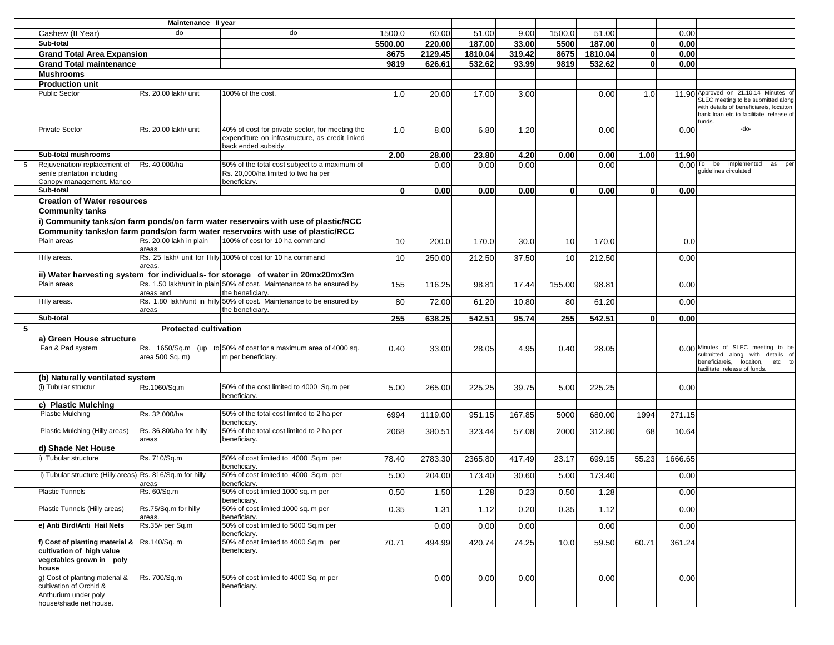|   |                                                                                                                  | Maintenance II year              |                                                                                                                           |              |         |         |        |          |         |              |         |                                                                                                                                                                             |
|---|------------------------------------------------------------------------------------------------------------------|----------------------------------|---------------------------------------------------------------------------------------------------------------------------|--------------|---------|---------|--------|----------|---------|--------------|---------|-----------------------------------------------------------------------------------------------------------------------------------------------------------------------------|
|   | Cashew (II Year)                                                                                                 | do                               | do                                                                                                                        | 1500.0       | 60.00   | 51.00   | 9.00   | 1500.0   | 51.00   |              | 0.00    |                                                                                                                                                                             |
|   | Sub-total                                                                                                        |                                  |                                                                                                                           | 5500.00      | 220.00  | 187.00  | 33.00  | 5500     | 187.00  | $\mathbf{0}$ | 0.00    |                                                                                                                                                                             |
|   | <b>Grand Total Area Expansion</b>                                                                                |                                  |                                                                                                                           | 8675         | 2129.45 | 1810.04 | 319.42 | 8675     | 1810.04 | $\mathbf 0$  | 0.00    |                                                                                                                                                                             |
|   | <b>Grand Total maintenance</b>                                                                                   |                                  |                                                                                                                           | 9819         | 626.61  | 532.62  | 93.99  | 9819     | 532.62  | $\mathbf{0}$ | 0.00    |                                                                                                                                                                             |
|   | <b>Mushrooms</b>                                                                                                 |                                  |                                                                                                                           |              |         |         |        |          |         |              |         |                                                                                                                                                                             |
|   | <b>Production unit</b>                                                                                           |                                  |                                                                                                                           |              |         |         |        |          |         |              |         |                                                                                                                                                                             |
|   | Public Sector                                                                                                    | Rs. 20.00 lakh/ unit             | 100% of the cost.                                                                                                         | 1.0          | 20.00   | 17.00   | 3.00   |          | 0.00    | 1.0          |         | 11.90 Approved on 21.10.14 Minutes of<br>SLEC meeting to be submitted along<br>with details of beneficiareis, locaiton,<br>bank loan etc to facilitate release of<br>funds. |
|   | <b>Private Sector</b>                                                                                            | Rs. 20.00 lakh/ unit             | 40% of cost for private sector, for meeting the<br>expenditure on infrastructure, as credit linked<br>back ended subsidv. | 1.0          | 8.00    | 6.80    | 1.20   |          | 0.00    |              | 0.00    | -do-                                                                                                                                                                        |
|   | Sub-total mushrooms                                                                                              |                                  |                                                                                                                           | 2.00         | 28.00   | 23.80   | 4.20   | 0.00     | 0.00    | 1.00         | 11.90   |                                                                                                                                                                             |
| 5 | Rejuvenation/replacement of<br>senile plantation including<br>Canopy management. Mango                           | Rs. 40,000/ha                    | 50% of the total cost subject to a maximum of<br>Rs. 20,000/ha limited to two ha per<br>beneficiary.                      |              | 0.00    | 0.00    | 0.00   |          | 0.00    |              |         | $0.00$ To be<br>implemented<br>as<br>per<br>quidelines circulated                                                                                                           |
|   | Sub-total                                                                                                        |                                  |                                                                                                                           | $\mathbf{0}$ | 0.00    | 0.00    | 0.00   | $\Omega$ | 0.00    | $\mathbf{0}$ | 0.00    |                                                                                                                                                                             |
|   | <b>Creation of Water resources</b>                                                                               |                                  |                                                                                                                           |              |         |         |        |          |         |              |         |                                                                                                                                                                             |
|   | <b>Community tanks</b>                                                                                           |                                  |                                                                                                                           |              |         |         |        |          |         |              |         |                                                                                                                                                                             |
|   |                                                                                                                  |                                  | i) Community tanks/on farm ponds/on farm water reservoirs with use of plastic/RCC                                         |              |         |         |        |          |         |              |         |                                                                                                                                                                             |
|   |                                                                                                                  |                                  | Community tanks/on farm ponds/on farm water reservoirs with use of plastic/RCC                                            |              |         |         |        |          |         |              |         |                                                                                                                                                                             |
|   | Plain areas                                                                                                      | Rs. 20.00 lakh in plain<br>areas | 100% of cost for 10 ha command                                                                                            | 10           | 200.0   | 170.0   | 30.0   | 10       | 170.0   |              | 0.0     |                                                                                                                                                                             |
|   | Hilly areas.                                                                                                     | areas                            | Rs. 25 lakh/ unit for Hilly 100% of cost for 10 ha command                                                                | 10           | 250.00  | 212.50  | 37.50  | 10       | 212.50  |              | 0.00    |                                                                                                                                                                             |
|   |                                                                                                                  |                                  | ii) Water harvesting system for individuals- for storage of water in 20mx20mx3m                                           |              |         |         |        |          |         |              |         |                                                                                                                                                                             |
|   | Plain areas                                                                                                      |                                  | Rs. 1.50 lakh/unit in plain 50% of cost. Maintenance to be ensured by                                                     | 155          | 116.25  | 98.81   | 17.44  | 155.00   | 98.81   |              | 0.00    |                                                                                                                                                                             |
|   | Hilly areas.                                                                                                     | areas and                        | the beneficiary.<br>Rs. 1.80 lakh/unit in hilly 50% of cost. Maintenance to be ensured by                                 | 80           | 72.00   | 61.20   | 10.80  | 80       | 61.20   |              | 0.00    |                                                                                                                                                                             |
|   | Sub-total                                                                                                        | areas                            | the beneficiary.                                                                                                          | 255          |         |         | 95.74  | 255      | 542.51  | $\Omega$     | 0.00    |                                                                                                                                                                             |
| 5 |                                                                                                                  |                                  |                                                                                                                           |              | 638.25  | 542.51  |        |          |         |              |         |                                                                                                                                                                             |
|   | a) Green House structure                                                                                         | <b>Protected cultivation</b>     |                                                                                                                           |              |         |         |        |          |         |              |         |                                                                                                                                                                             |
|   | Fan & Pad system                                                                                                 | area 500 Sq. m)                  | Rs. 1650/Sq.m (up to 50% of cost for a maximum area of 4000 sq.<br>m per beneficiary.                                     | 0.40         | 33.00   | 28.05   | 4.95   | 0.40     | 28.05   |              |         | 0.00 Minutes of SLEC meeting to be<br>submitted along with details of<br>beneficiareis, locaiton, etc to<br>facilitate release of funds.                                    |
|   | (b) Naturally ventilated system                                                                                  |                                  |                                                                                                                           |              |         |         |        |          |         |              |         |                                                                                                                                                                             |
|   | (i) Tubular structur                                                                                             | Rs.1060/Sq.m                     | 50% of the cost limited to 4000 Sq.m per<br>beneficiary.                                                                  | 5.00         | 265.00  | 225.25  | 39.75  | 5.00     | 225.25  |              | 0.00    |                                                                                                                                                                             |
|   | c) Plastic Mulching                                                                                              |                                  |                                                                                                                           |              |         |         |        |          |         |              |         |                                                                                                                                                                             |
|   | <b>Plastic Mulching</b>                                                                                          | Rs. 32,000/ha                    | 50% of the total cost limited to 2 ha per<br>beneficiarv.                                                                 | 6994         | 1119.00 | 951.15  | 167.85 | 5000     | 680.00  | 1994         | 271.15  |                                                                                                                                                                             |
|   | Plastic Mulching (Hilly areas)                                                                                   | Rs. 36,800/ha for hilly<br>areas | 50% of the total cost limited to 2 ha per<br>beneficiarv.                                                                 | 2068         | 380.51  | 323.44  | 57.08  | 2000     | 312.80  | 68           | 10.64   |                                                                                                                                                                             |
|   | d) Shade Net House                                                                                               |                                  |                                                                                                                           |              |         |         |        |          |         |              |         |                                                                                                                                                                             |
|   | i) Tubular structure                                                                                             | Rs. 710/Sq.m                     | 50% of cost limited to 4000 Sq.m per<br>beneficiarv.                                                                      | 78.40        | 2783.30 | 2365.80 | 417.49 | 23.17    | 699.15  | 55.23        | 1666.65 |                                                                                                                                                                             |
|   | i) Tubular structure (Hilly areas) Rs. 816/Sq.m for hilly                                                        | areas                            | 50% of cost limited to 4000 Sq.m per<br>beneficiary.                                                                      | 5.00         | 204.00  | 173.40  | 30.60  | 5.00     | 173.40  |              | 0.00    |                                                                                                                                                                             |
|   | <b>Plastic Tunnels</b>                                                                                           | Rs. 60/Sq.m                      | 50% of cost limited 1000 sq. m per<br>beneficiary.                                                                        | 0.50         | 1.50    | 1.28    | 0.23   | 0.50     | 1.28    |              | 0.00    |                                                                                                                                                                             |
|   | Plastic Tunnels (Hilly areas)                                                                                    | Rs.75/Sq.m for hilly<br>areas.   | 50% of cost limited 1000 sq. m per<br>beneficiary.                                                                        | 0.35         | 1.31    | 1.12    | 0.20   | 0.35     | 1.12    |              | 0.00    |                                                                                                                                                                             |
|   | e) Anti Bird/Anti Hail Nets                                                                                      | Rs.35/- per Sq.m                 | 50% of cost limited to 5000 Sq.m per<br>beneficiary.                                                                      |              | 0.00    | 0.00    | 0.00   |          | 0.00    |              | 0.00    |                                                                                                                                                                             |
|   | f) Cost of planting material $\&$ Rs.140/Sq. m<br>cultivation of high value<br>vegetables grown in poly<br>house |                                  | 50% of cost limited to 4000 Sq.m per<br>beneficiary.                                                                      | 70.71        | 494.99  | 420.74  | 74.25  | 10.0     | 59.50   | 60.71        | 361.24  |                                                                                                                                                                             |
|   | g) Cost of planting material &<br>cultivation of Orchid &<br>Anthurium under poly                                | Rs. 700/Sq.m                     | 50% of cost limited to 4000 Sq. m per<br>beneficiary.                                                                     |              | 0.00    | 0.00    | 0.00   |          | 0.00    |              | 0.00    |                                                                                                                                                                             |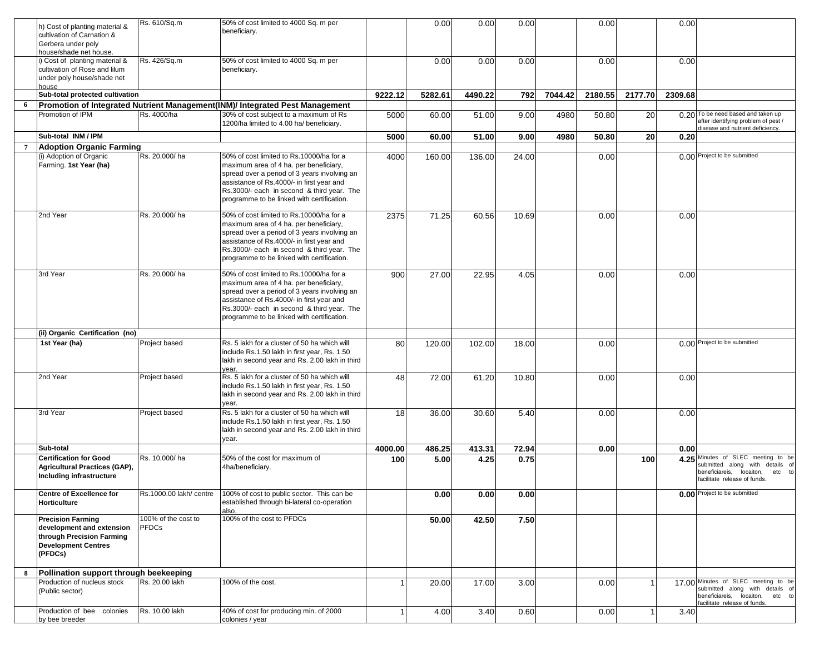|                 |                                        | Rs. 610/Sq.m            | 50% of cost limited to 4000 Sq. m per                                        |              | 0.00    | 0.00    | 0.00  |         | 0.00    |         | 0.00    |                                                                   |
|-----------------|----------------------------------------|-------------------------|------------------------------------------------------------------------------|--------------|---------|---------|-------|---------|---------|---------|---------|-------------------------------------------------------------------|
|                 | 1) Cost of planting material &         |                         | beneficiary.                                                                 |              |         |         |       |         |         |         |         |                                                                   |
|                 | cultivation of Carnation &             |                         |                                                                              |              |         |         |       |         |         |         |         |                                                                   |
|                 | Gerbera under poly                     |                         |                                                                              |              |         |         |       |         |         |         |         |                                                                   |
|                 | nouse/shade net house.                 |                         |                                                                              |              |         |         |       |         |         |         |         |                                                                   |
|                 | Cost of planting material &            | Rs. 426/Sq.m            | 50% of cost limited to 4000 Sq. m per                                        |              | 0.00    | 0.00    | 0.00  |         | 0.00    |         | 0.00    |                                                                   |
|                 | cultivation of Rose and lilum          |                         | beneficiary.                                                                 |              |         |         |       |         |         |         |         |                                                                   |
|                 | under poly house/shade net             |                         |                                                                              |              |         |         |       |         |         |         |         |                                                                   |
|                 | ouse                                   |                         |                                                                              |              |         |         |       |         |         |         |         |                                                                   |
|                 | Sub-total protected cultivation        |                         |                                                                              | 9222.12      | 5282.61 | 4490.22 | 792   | 7044.42 | 2180.55 | 2177.70 | 2309.68 |                                                                   |
| 6               |                                        |                         | Promotion of Integrated Nutrient Management(INM)/ Integrated Pest Management |              |         |         |       |         |         |         |         |                                                                   |
|                 | Promotion of IPM                       | Rs. 4000/ha             | 30% of cost subject to a maximum of Rs                                       | 5000         | 60.00   | 51.00   | 9.00  | 4980    | 50.80   | 20      |         | 0.20 To be need based and taken up                                |
|                 |                                        |                         | 1200/ha limited to 4.00 ha/ beneficiary.                                     |              |         |         |       |         |         |         |         | after identifying problem of pest /                               |
|                 | Sub-total INM / IPM                    |                         |                                                                              | 5000         | 60.00   | 51.00   | 9.00  | 4980    | 50.80   | 20      | 0.20    | disease and nutrient deficiency.                                  |
|                 |                                        |                         |                                                                              |              |         |         |       |         |         |         |         |                                                                   |
| $7\phantom{.0}$ | <b>Adoption Organic Farming</b>        |                         |                                                                              |              |         |         |       |         |         |         |         |                                                                   |
|                 | (i) Adoption of Organic                | Rs. 20.000/ha           | 50% of cost limited to Rs.10000/ha for a                                     | 4000         | 160.00  | 136.00  | 24.00 |         | 0.00    |         |         | 0.00 Project to be submitted                                      |
|                 | Farming. 1st Year (ha)                 |                         | maximum area of 4 ha. per beneficiary,                                       |              |         |         |       |         |         |         |         |                                                                   |
|                 |                                        |                         | spread over a period of 3 years involving an                                 |              |         |         |       |         |         |         |         |                                                                   |
|                 |                                        |                         | assistance of Rs.4000/- in first year and                                    |              |         |         |       |         |         |         |         |                                                                   |
|                 |                                        |                         | Rs.3000/- each in second & third year. The                                   |              |         |         |       |         |         |         |         |                                                                   |
|                 |                                        |                         | programme to be linked with certification.                                   |              |         |         |       |         |         |         |         |                                                                   |
|                 |                                        |                         |                                                                              |              |         |         |       |         |         |         |         |                                                                   |
|                 | 2nd Year                               | Rs. 20,000/ha           | 50% of cost limited to Rs.10000/ha for a                                     | 2375         | 71.25   | 60.56   | 10.69 |         | 0.00    |         | 0.00    |                                                                   |
|                 |                                        |                         | maximum area of 4 ha. per beneficiary,                                       |              |         |         |       |         |         |         |         |                                                                   |
|                 |                                        |                         | spread over a period of 3 years involving an                                 |              |         |         |       |         |         |         |         |                                                                   |
|                 |                                        |                         | assistance of Rs.4000/- in first year and                                    |              |         |         |       |         |         |         |         |                                                                   |
|                 |                                        |                         | Rs.3000/- each in second & third year. The                                   |              |         |         |       |         |         |         |         |                                                                   |
|                 |                                        |                         | programme to be linked with certification.                                   |              |         |         |       |         |         |         |         |                                                                   |
|                 | 3rd Year                               | Rs. 20,000/ha           | 50% of cost limited to Rs.10000/ha for a                                     |              | 27.00   | 22.95   |       |         | 0.00    |         |         |                                                                   |
|                 |                                        |                         | maximum area of 4 ha. per beneficiary,                                       | 900          |         |         | 4.05  |         |         |         | 0.00    |                                                                   |
|                 |                                        |                         | spread over a period of 3 years involving an                                 |              |         |         |       |         |         |         |         |                                                                   |
|                 |                                        |                         | assistance of Rs.4000/- in first year and                                    |              |         |         |       |         |         |         |         |                                                                   |
|                 |                                        |                         |                                                                              |              |         |         |       |         |         |         |         |                                                                   |
|                 |                                        |                         | Rs.3000/- each in second & third year. The                                   |              |         |         |       |         |         |         |         |                                                                   |
|                 |                                        |                         | programme to be linked with certification.                                   |              |         |         |       |         |         |         |         |                                                                   |
|                 | (ii) Organic Certification (no)        |                         |                                                                              |              |         |         |       |         |         |         |         |                                                                   |
|                 |                                        |                         |                                                                              |              |         |         |       |         |         |         |         | 0.00 Project to be submitted                                      |
|                 | 1st Year (ha)                          | Project based           | Rs. 5 lakh for a cluster of 50 ha which will                                 | 80           | 120.00  | 102.00  | 18.00 |         | 0.00    |         |         |                                                                   |
|                 |                                        |                         | include Rs.1.50 lakh in first year, Rs. 1.50                                 |              |         |         |       |         |         |         |         |                                                                   |
|                 |                                        |                         | lakh in second year and Rs. 2.00 lakh in third                               |              |         |         |       |         |         |         |         |                                                                   |
|                 |                                        |                         | vear.<br>Rs. 5 lakh for a cluster of 50 ha which will                        |              |         |         |       |         |         |         |         |                                                                   |
|                 | 2nd Year                               | Project based           |                                                                              | 48           | 72.00   | 61.20   | 10.80 |         | 0.00    |         | 0.00    |                                                                   |
|                 |                                        |                         | include Rs.1.50 lakh in first year, Rs. 1.50                                 |              |         |         |       |         |         |         |         |                                                                   |
|                 |                                        |                         | lakh in second year and Rs. 2.00 lakh in third                               |              |         |         |       |         |         |         |         |                                                                   |
|                 |                                        |                         | year.                                                                        |              |         |         |       |         |         |         |         |                                                                   |
|                 | 3rd Year                               | Project based           | Rs. 5 lakh for a cluster of 50 ha which will                                 | 18           | 36.00   | 30.60   | 5.40  |         | 0.00    |         | 0.00    |                                                                   |
|                 |                                        |                         | include Rs.1.50 lakh in first year, Rs. 1.50                                 |              |         |         |       |         |         |         |         |                                                                   |
|                 |                                        |                         | lakh in second year and Rs. 2.00 lakh in third                               |              |         |         |       |         |         |         |         |                                                                   |
|                 |                                        |                         | year.                                                                        |              |         |         |       |         |         |         |         |                                                                   |
|                 | Sub-total                              |                         |                                                                              | 4000.00      | 486.25  | 413.31  | 72.94 |         | 0.00    |         | 0.00    |                                                                   |
|                 | <b>Certification for Good</b>          | Rs. 10,000/ha           | 50% of the cost for maximum of                                               | 100          | 5.00    | 4.25    | 0.75  |         |         | 100     |         | 4.25 Minutes of SLEC meeting to be                                |
|                 | Agricultural Practices (GAP),          |                         | 4ha/beneficiary.                                                             |              |         |         |       |         |         |         |         | submitted along with<br>details<br>of                             |
|                 | Including infrastructure               |                         |                                                                              |              |         |         |       |         |         |         |         | peneficiareis,<br>locaiton,<br>etc<br>acilitate release of funds. |
|                 |                                        |                         |                                                                              |              |         |         |       |         |         |         |         |                                                                   |
|                 | <b>Centre of Excellence for</b>        | Rs.1000.00 lakh/ centre | 100% of cost to public sector. This can be                                   |              | 0.00    | 0.00    | 0.00  |         |         |         |         | 0.00 Project to be submitted                                      |
|                 | Horticulture                           |                         | established through bi-lateral co-operation                                  |              |         |         |       |         |         |         |         |                                                                   |
|                 |                                        |                         | also.                                                                        |              |         |         |       |         |         |         |         |                                                                   |
|                 | <b>Precision Farming</b>               | 100% of the cost to     | 100% of the cost to PFDCs                                                    |              | 50.00   | 42.50   | 7.50  |         |         |         |         |                                                                   |
|                 | development and extension              | <b>PFDCs</b>            |                                                                              |              |         |         |       |         |         |         |         |                                                                   |
|                 | through Precision Farming              |                         |                                                                              |              |         |         |       |         |         |         |         |                                                                   |
|                 | <b>Development Centres</b>             |                         |                                                                              |              |         |         |       |         |         |         |         |                                                                   |
|                 | (PFDCs)                                |                         |                                                                              |              |         |         |       |         |         |         |         |                                                                   |
|                 |                                        |                         |                                                                              |              |         |         |       |         |         |         |         |                                                                   |
| 8               | Pollination support through beekeeping |                         |                                                                              |              |         |         |       |         |         |         |         |                                                                   |
|                 | Production of nucleus stock            | Rs. 20.00 lakh          | 100% of the cost.                                                            |              | 20.00   | 17.00   | 3.00  |         | 0.00    |         |         | 17.00 Minutes of SLEC meeting to be                               |
|                 | (Public sector)                        |                         |                                                                              |              |         |         |       |         |         |         |         | submitted along with details of                                   |
|                 |                                        |                         |                                                                              |              |         |         |       |         |         |         |         | beneficiareis, locaiton, etc to                                   |
|                 |                                        |                         |                                                                              |              |         |         |       |         |         |         |         | acilitate release of funds.                                       |
|                 | Production of bee colonies             | Rs. 10.00 lakh          | 40% of cost for producing min. of 2000                                       | $\mathbf{1}$ | 4.00    | 3.40    | 0.60  |         | 0.00    |         | 3.40    |                                                                   |
|                 | by bee breeder                         |                         | colonies / year                                                              |              |         |         |       |         |         |         |         |                                                                   |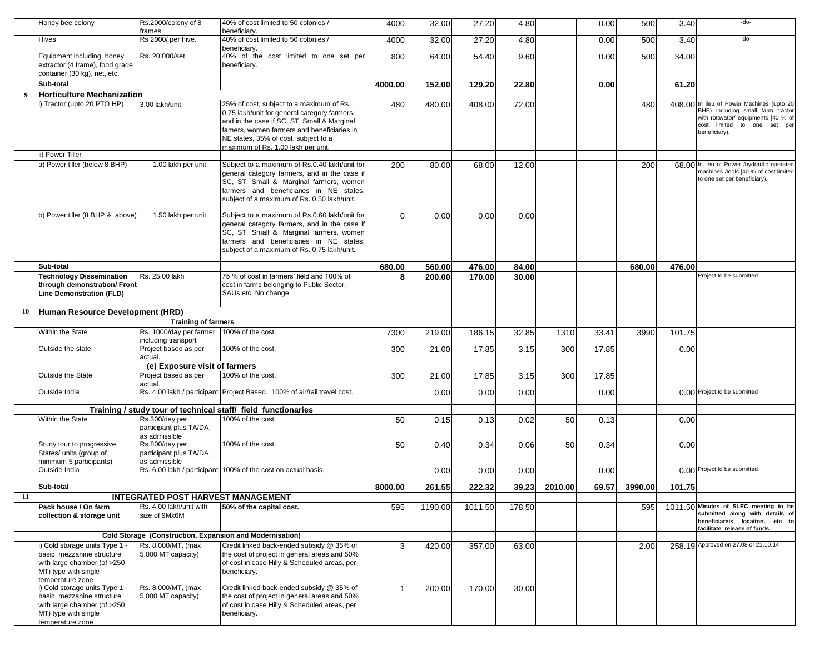|    | Honey bee colony                                                                                                                       | Rs.2000/colony of 8<br>frames                                    | 40% of cost limited to 50 colonies /<br>beneficiary.                                                                                                                                                                                                                | 4000         | 32.00   | 27.20   | 4.80   |         | 0.00  | 500     | 3.40    | -do-                                                                                                                                                                  |
|----|----------------------------------------------------------------------------------------------------------------------------------------|------------------------------------------------------------------|---------------------------------------------------------------------------------------------------------------------------------------------------------------------------------------------------------------------------------------------------------------------|--------------|---------|---------|--------|---------|-------|---------|---------|-----------------------------------------------------------------------------------------------------------------------------------------------------------------------|
|    | Hives                                                                                                                                  | Rs 2000/ per hive.                                               | 40% of cost limited to 50 colonies /<br>beneficiary.                                                                                                                                                                                                                | 4000         | 32.00   | 27.20   | 4.80   |         | 0.00  | 500     | 3.40    | -do-                                                                                                                                                                  |
|    | Equipment including honey<br>extractor (4 frame), food grade<br>container (30 kg), net, etc.                                           | Rs. 20,000/set                                                   | 40% of the cost limited to one set per<br>beneficiary.                                                                                                                                                                                                              | 800          | 64.00   | 54.40   | 9.60   |         | 0.00  | 500     | 34.00   |                                                                                                                                                                       |
|    | Sub-total                                                                                                                              |                                                                  |                                                                                                                                                                                                                                                                     | 4000.00      | 152.00  | 129.20  | 22.80  |         | 0.00  |         | 61.20   |                                                                                                                                                                       |
| 9  | <b>Horticulture Mechanization</b>                                                                                                      |                                                                  |                                                                                                                                                                                                                                                                     |              |         |         |        |         |       |         |         |                                                                                                                                                                       |
|    | i) Tractor (upto 20 PTO HP)                                                                                                            | 3.00 lakh/unit                                                   | 25% of cost, subject to a maximum of Rs.<br>0.75 lakh/unit for general category farmers,<br>and in the case if SC, ST, Small & Marginal<br>famers, women farmers and beneficiaries in<br>NE states, 35% of cost, subject to a<br>maximum of Rs. 1.00 lakh per unit. | 480          | 480.00  | 408.00  | 72.00  |         |       | 480     |         | 408.00 In lieu of Power Machines (upto 20<br>BHP) including small farm tractor<br>with rotavator/ equipments [40 % of<br>cost limited to one set per<br>beneficiary). |
|    | ii) Power Tiller                                                                                                                       |                                                                  |                                                                                                                                                                                                                                                                     |              |         |         |        |         |       |         |         |                                                                                                                                                                       |
|    | a) Power tiller (below 8 BHP)                                                                                                          | 1.00 lakh per unit                                               | Subject to a maximum of Rs.0.40 lakh/unit for<br>general category farmers, and in the case if<br>SC, ST, Small & Marginal farmers, women<br>farmers and beneficiaries in NE states,<br>subject of a maximum of Rs. 0.50 lakh/unit.                                  | 200          | 80.00   | 68.00   | 12.00  |         |       | 200     |         | 68.00 In lieu of Power /hydraulic operated<br>machines /tools [40 % of cost limited<br>to one set per beneficiary).                                                   |
|    | b) Power tiller (8 BHP & above)                                                                                                        | 1.50 lakh per unit                                               | Subject to a maximum of Rs.0.60 lakh/unit for<br>general category farmers, and in the case if<br>SC, ST, Small & Marginal farmers, women<br>farmers and beneficiaries in NE states.<br>subject of a maximum of Rs. 0.75 lakh/unit.                                  | $\Omega$     | 0.00    | 0.00    | 0.00   |         |       |         |         |                                                                                                                                                                       |
|    | Sub-total                                                                                                                              |                                                                  |                                                                                                                                                                                                                                                                     | 680.00       | 560.00  | 476.00  | 84.00  |         |       | 680.00  | 476.00  |                                                                                                                                                                       |
|    | <b>Technology Dissemination</b><br>through demonstration/ Front<br>Line Demonstration (FLD)                                            | Rs. 25.00 lakh                                                   | 75 % of cost in farmers' field and 100% of<br>cost in farms belonging to Public Sector,<br>SAUs etc. No change                                                                                                                                                      | 8            | 200.00  | 170.00  | 30.00  |         |       |         |         | Project to be submitted                                                                                                                                               |
| 10 | Human Resource Development (HRD)                                                                                                       |                                                                  |                                                                                                                                                                                                                                                                     |              |         |         |        |         |       |         |         |                                                                                                                                                                       |
|    |                                                                                                                                        | <b>Training of farmers</b>                                       |                                                                                                                                                                                                                                                                     |              |         |         |        |         |       |         |         |                                                                                                                                                                       |
|    | Within the State                                                                                                                       | Rs. 1000/day per farmer 100% of the cost.<br>including transport |                                                                                                                                                                                                                                                                     | 7300         | 219.00  | 186.15  | 32.85  | 1310    | 33.41 | 3990    | 101.75  |                                                                                                                                                                       |
|    | Outside the state                                                                                                                      | Project based as per<br>actual.                                  | 100% of the cost.                                                                                                                                                                                                                                                   | 300          | 21.00   | 17.85   | 3.15   | 300     | 17.85 |         | 0.00    |                                                                                                                                                                       |
|    |                                                                                                                                        | (e) Exposure visit of farmers                                    |                                                                                                                                                                                                                                                                     |              |         |         |        |         |       |         |         |                                                                                                                                                                       |
|    | Outside the State                                                                                                                      | Project based as per<br>actual.                                  | 100% of the cost.                                                                                                                                                                                                                                                   | 300          | 21.00   | 17.85   | 3.15   | 300     | 17.85 |         |         |                                                                                                                                                                       |
|    | Outside India                                                                                                                          |                                                                  | Rs. 4.00 lakh / participant Project Based. 100% of air/rail travel cost.                                                                                                                                                                                            |              | 0.00    | 0.00    | 0.00   |         | 0.00  |         |         | 0.00 Project to be submitted                                                                                                                                          |
|    |                                                                                                                                        |                                                                  | Training / study tour of technical staff/ field functionaries                                                                                                                                                                                                       |              |         |         |        |         |       |         |         |                                                                                                                                                                       |
|    | Within the State                                                                                                                       | Rs.300/day per<br>participant plus TA/DA,<br>as admissible       | 100% of the cost.                                                                                                                                                                                                                                                   | 50           | 0.15    | 0.13    | 0.02   | 50      | 0.13  |         | 0.00    |                                                                                                                                                                       |
|    | Study tour to progressive<br>States/ units (group of<br>minimum 5 participants)                                                        | Rs.800/day per<br>participant plus TA/DA,<br>as admissible       | 100% of the cost.                                                                                                                                                                                                                                                   | 50           | 0.40    | 0.34    | 0.06   | 50      | 0.34  |         | 0.00    |                                                                                                                                                                       |
|    | Outside India                                                                                                                          |                                                                  | Rs. 6.00 lakh / participant 100% of the cost on actual basis.                                                                                                                                                                                                       |              | 0.00    | 0.00    | 0.00   |         | 0.00  |         |         | 0.00 Project to be submitted                                                                                                                                          |
|    | Sub-total                                                                                                                              |                                                                  |                                                                                                                                                                                                                                                                     | 8000.00      | 261.55  | 222.32  | 39.23  | 2010.00 | 69.57 | 3990.00 | 101.75  |                                                                                                                                                                       |
| 11 |                                                                                                                                        | <b>INTEGRATED POST HARVEST MANAGEMENT</b>                        |                                                                                                                                                                                                                                                                     |              |         |         |        |         |       |         |         |                                                                                                                                                                       |
|    | Pack house / On farm<br>collection & storage unit                                                                                      | Rs. 4.00 lakh/unit with<br>size of 9Mx6M                         | 50% of the capital cost.                                                                                                                                                                                                                                            | 595          | 1190.00 | 1011.50 | 178.50 |         |       | 595     | 1011.50 | Minutes of SLEC meeting to be<br>submitted along with details of<br>beneficiareis, locaiton, etc to<br>facilitate release of funds.                                   |
|    |                                                                                                                                        |                                                                  | Cold Storage (Construction, Expansion and Modernisation)                                                                                                                                                                                                            |              |         |         |        |         |       |         |         |                                                                                                                                                                       |
|    | i) Cold storage units Type 1<br>basic mezzanine structure<br>with large chamber (of >250<br>MT) type with single<br>temperature zone   | Rs. 8,000/MT, (max<br>5,000 MT capacity)                         | Credit linked back-ended subsidy @ 35% of<br>the cost of project in general areas and 50%<br>of cost in case Hilly & Scheduled areas, per<br>beneficiarv.                                                                                                           | 3            | 420.00  | 357.00  | 63.00  |         |       | 2.00    |         | 258.19 Approved on 27.08 or 21.10.14                                                                                                                                  |
|    | i) Cold storage units Type 1 -<br>basic mezzanine structure<br>with large chamber (of >250<br>MT) type with single<br>temperature zone | Rs. 8,000/MT, (max<br>5,000 MT capacity)                         | Credit linked back-ended subsidy @ 35% of<br>the cost of project in general areas and 50%<br>of cost in case Hilly & Scheduled areas, per<br>beneficiarv.                                                                                                           | $\mathbf{1}$ | 200.00  | 170.00  | 30.00  |         |       |         |         |                                                                                                                                                                       |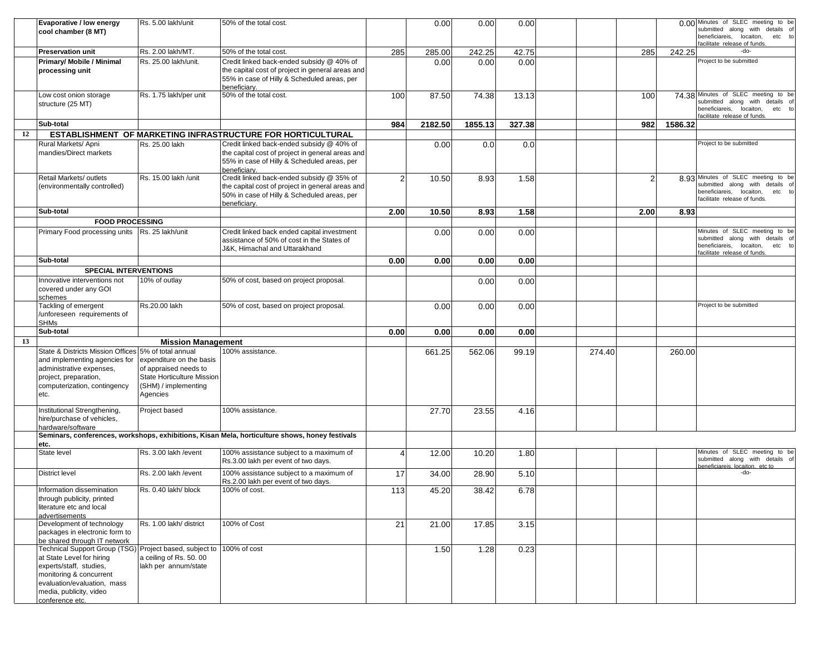|    | Evaporative / low energy<br>cool chamber (8 MT)                                                                                                                                                                                      | Rs. 5.00 lakh/unit                                                                                                  | 50% of the total cost.                                                                                                                                       |                | 0.00    | 0.00    | 0.00   |        |      |         | 0.00 Minutes of SLEC meeting to be<br>submitted along with details of<br>beneficiareis, locaiton, etc to                                  |
|----|--------------------------------------------------------------------------------------------------------------------------------------------------------------------------------------------------------------------------------------|---------------------------------------------------------------------------------------------------------------------|--------------------------------------------------------------------------------------------------------------------------------------------------------------|----------------|---------|---------|--------|--------|------|---------|-------------------------------------------------------------------------------------------------------------------------------------------|
|    | <b>Preservation unit</b>                                                                                                                                                                                                             | Rs. 2.00 lakh/MT.                                                                                                   | 50% of the total cost.                                                                                                                                       | 285            | 285.00  | 242.25  | 42.75  |        | 285  | 242.25  | facilitate release of funds.<br>-do-                                                                                                      |
|    | Primary/ Mobile / Minimal<br>processing unit                                                                                                                                                                                         | Rs. 25.00 lakh/unit.                                                                                                | Credit linked back-ended subsidy @ 40% of<br>the capital cost of project in general areas and<br>55% in case of Hilly & Scheduled areas, per<br>beneficiary. |                | 0.00    | 0.00    | 0.00   |        |      |         | Project to be submitted                                                                                                                   |
|    | Low cost onion storage<br>structure (25 MT)                                                                                                                                                                                          | Rs. 1.75 lakh/per unit                                                                                              | 50% of the total cost.                                                                                                                                       | 100            | 87.50   | 74.38   | 13.13  |        | 100  |         | 74.38 Minutes of SLEC meeting to be<br>submitted along with details of<br>beneficiareis, locaiton, etc to<br>facilitate release of funds. |
|    | Sub-total                                                                                                                                                                                                                            |                                                                                                                     |                                                                                                                                                              | 984            | 2182.50 | 1855.13 | 327.38 |        | 982  | 1586.32 |                                                                                                                                           |
| 12 |                                                                                                                                                                                                                                      |                                                                                                                     | ESTABLISHMENT OF MARKETING INFRASTRUCTURE FOR HORTICULTURAL                                                                                                  |                |         |         |        |        |      |         |                                                                                                                                           |
|    | Rural Markets/ Apni<br>mandies/Direct markets                                                                                                                                                                                        | Rs. 25.00 lakh                                                                                                      | Credit linked back-ended subsidy @ 40% of<br>the capital cost of project in general areas and<br>55% in case of Hilly & Scheduled areas, per<br>beneficiary. |                | 0.00    | 0.0     | 0.0    |        |      |         | Project to be submitted                                                                                                                   |
|    | Retail Markets/ outlets<br>(environmentally controlled)                                                                                                                                                                              | Rs. 15.00 lakh /unit                                                                                                | Credit linked back-ended subsidy @ 35% of<br>the capital cost of project in general areas and<br>50% in case of Hilly & Scheduled areas, per<br>beneficiary. | $\mathfrak{p}$ | 10.50   | 8.93    | 1.58   |        | っ    |         | 8.93 Minutes of SLEC meeting to be<br>submitted along with details of<br>beneficiareis, locaiton, etc to<br>facilitate release of funds.  |
|    | Sub-total                                                                                                                                                                                                                            |                                                                                                                     |                                                                                                                                                              | 2.00           | 10.50   | 8.93    | 1.58   |        | 2.00 | 8.93    |                                                                                                                                           |
|    | <b>FOOD PROCESSING</b>                                                                                                                                                                                                               |                                                                                                                     |                                                                                                                                                              |                |         |         |        |        |      |         |                                                                                                                                           |
|    | Primary Food processing units   Rs. 25 lakh/unit                                                                                                                                                                                     |                                                                                                                     | Credit linked back ended capital investment<br>assistance of 50% of cost in the States of<br>J&K. Himachal and Uttarakhand                                   |                | 0.00    | 0.00    | 0.00   |        |      |         | Minutes of SLEC meeting to be<br>submitted along with<br>details of<br>beneficiareis, locaiton, etc to<br>facilitate release of funds.    |
|    | Sub-total                                                                                                                                                                                                                            |                                                                                                                     |                                                                                                                                                              | 0.00           | 0.00    | 0.00    | 0.00   |        |      |         |                                                                                                                                           |
|    | <b>SPECIAL INTERVENTIONS</b>                                                                                                                                                                                                         |                                                                                                                     |                                                                                                                                                              |                |         |         |        |        |      |         |                                                                                                                                           |
|    | Innovative interventions not<br>covered under any GOI<br>schemes                                                                                                                                                                     | 10% of outlay                                                                                                       | 50% of cost, based on project proposal.                                                                                                                      |                |         | 0.00    | 0.00   |        |      |         |                                                                                                                                           |
|    | Tackling of emergent<br>/unforeseen requirements of<br><b>SHMs</b>                                                                                                                                                                   | Rs.20.00 lakh                                                                                                       | 50% of cost, based on project proposal.                                                                                                                      |                | 0.00    | 0.00    | 0.00   |        |      |         | Project to be submitted                                                                                                                   |
|    | Sub-total                                                                                                                                                                                                                            |                                                                                                                     |                                                                                                                                                              | 0.00           | 0.00    | 0.00    | 0.00   |        |      |         |                                                                                                                                           |
| 13 |                                                                                                                                                                                                                                      | <b>Mission Management</b>                                                                                           |                                                                                                                                                              |                |         |         |        |        |      |         |                                                                                                                                           |
|    | State & Districts Mission Offices 5% of total annual<br>and implementing agencies for<br>administrative expenses,<br>project, preparation,<br>computerization, contingency<br>etc.                                                   | expenditure on the basis<br>of appraised needs to<br>State Horticulture Mission<br>(SHM) / implementing<br>Agencies | 100% assistance.                                                                                                                                             |                | 661.25  | 562.06  | 99.19  | 274.40 |      | 260.00  |                                                                                                                                           |
|    | Institutional Strengthening,<br>hire/purchase of vehicles,<br>hardware/software                                                                                                                                                      | Project based                                                                                                       | 100% assistance.                                                                                                                                             |                | 27.70   | 23.55   | 4.16   |        |      |         |                                                                                                                                           |
|    | etc.                                                                                                                                                                                                                                 |                                                                                                                     | Seminars, conferences, workshops, exhibitions, Kisan Mela, horticulture shows, honey festivals                                                               |                |         |         |        |        |      |         |                                                                                                                                           |
|    | State level                                                                                                                                                                                                                          | Rs. 3.00 lakh /event                                                                                                | 100% assistance subject to a maximum of<br>Rs.3.00 lakh per event of two days.                                                                               | 4              | 12.00   | 10.20   | 1.80   |        |      |         | Minutes of SLEC meeting to be<br>submitted along with details of<br>peneficiareis, locaiton, etc to                                       |
|    | <b>District level</b>                                                                                                                                                                                                                | Rs. 2.00 lakh /event                                                                                                | 100% assistance subject to a maximum of<br>Rs.2.00 lakh per event of two days.                                                                               | 17             | 34.00   | 28.90   | 5.10   |        |      |         | -do-                                                                                                                                      |
|    | Information dissemination<br>through publicity, printed<br>literature etc and local<br>advertisements                                                                                                                                | Rs. 0.40 lakh/ block                                                                                                | 100% of cost.                                                                                                                                                | 113            | 45.20   | 38.42   | 6.78   |        |      |         |                                                                                                                                           |
|    | Development of technology<br>packages in electronic form to<br>be shared through IT network                                                                                                                                          | Rs. 1.00 lakh/ district                                                                                             | 100% of Cost                                                                                                                                                 | 21             | 21.00   | 17.85   | 3.15   |        |      |         |                                                                                                                                           |
|    | Technical Support Group (TSG) Project based, subject to 100% of cost<br>at State Level for hiring<br>experts/staff, studies,<br>monitoring & concurrent<br>evaluation/evaluation, mass<br>media, publicity, video<br>conference etc. | a ceiling of Rs. 50.00<br>lakh per annum/state                                                                      |                                                                                                                                                              |                | 1.50    | 1.28    | 0.23   |        |      |         |                                                                                                                                           |